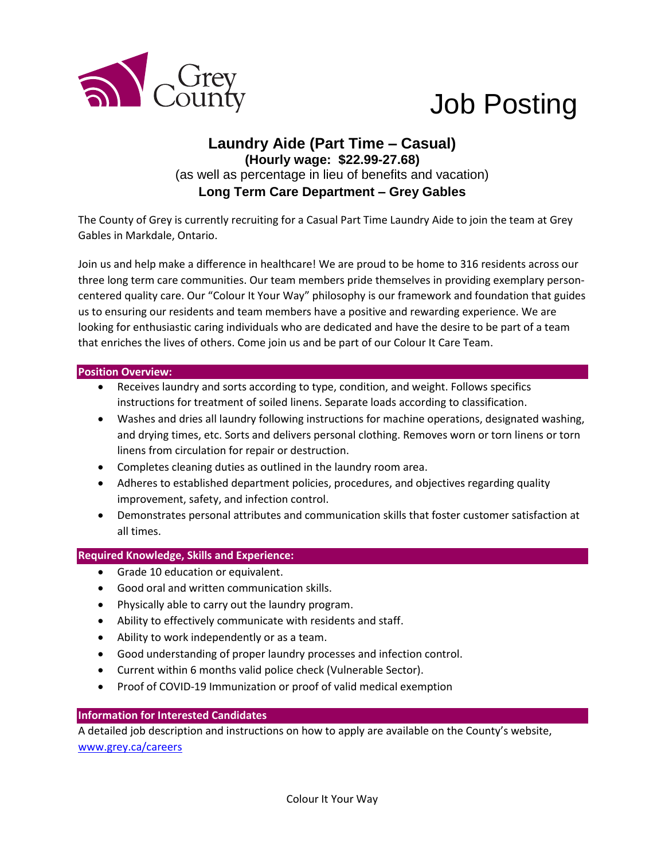

# Job Posting

## **Laundry Aide (Part Time – Casual) (Hourly wage: \$22.99-27.68)** (as well as percentage in lieu of benefits and vacation) **Long Term Care Department – Grey Gables**

The County of Grey is currently recruiting for a Casual Part Time Laundry Aide to join the team at Grey Gables in Markdale, Ontario.

Join us and help make a difference in healthcare! We are proud to be home to 316 residents across our three long term care communities. Our team members pride themselves in providing exemplary personcentered quality care. Our "Colour It Your Way" philosophy is our framework and foundation that guides us to ensuring our residents and team members have a positive and rewarding experience. We are looking for enthusiastic caring individuals who are dedicated and have the desire to be part of a team that enriches the lives of others. Come join us and be part of our Colour It Care Team.

#### **Position Overview:**

- Receives laundry and sorts according to type, condition, and weight. Follows specifics instructions for treatment of soiled linens. Separate loads according to classification.
- Washes and dries all laundry following instructions for machine operations, designated washing, and drying times, etc. Sorts and delivers personal clothing. Removes worn or torn linens or torn linens from circulation for repair or destruction.
- Completes cleaning duties as outlined in the laundry room area.
- Adheres to established department policies, procedures, and objectives regarding quality improvement, safety, and infection control.
- Demonstrates personal attributes and communication skills that foster customer satisfaction at all times.

#### **Required Knowledge, Skills and Experience:**

- Grade 10 education or equivalent.
- Good oral and written communication skills.
- Physically able to carry out the laundry program.
- Ability to effectively communicate with residents and staff.
- Ability to work independently or as a team.
- Good understanding of proper laundry processes and infection control.
- Current within 6 months valid police check (Vulnerable Sector).
- Proof of COVID-19 Immunization or proof of valid medical exemption

#### **Information for Interested Candidates**

A detailed job description and instructions on how to apply are available on the County's website, [www.grey.ca/careers](http://www.grey.ca/careers)